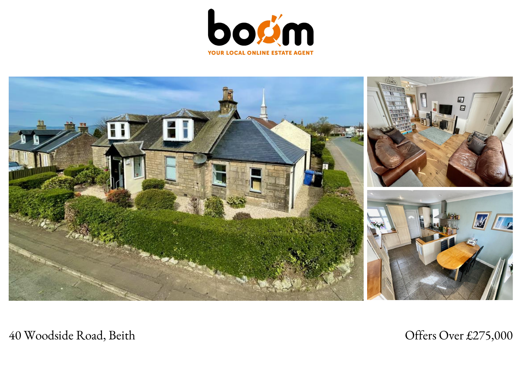



40 Woodside Road, Beith Offers Over £275,000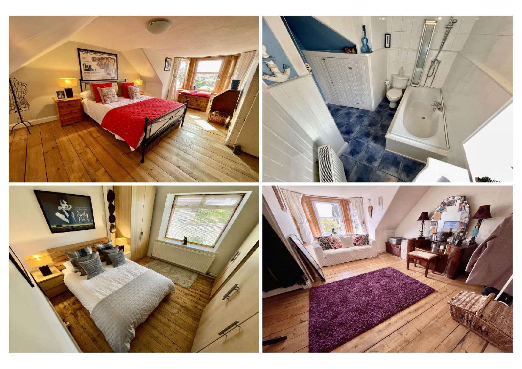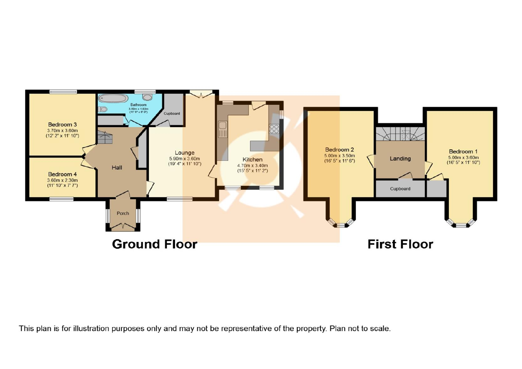

This plan is for illustration purposes only and may not be representative of the property. Plan not to scale.